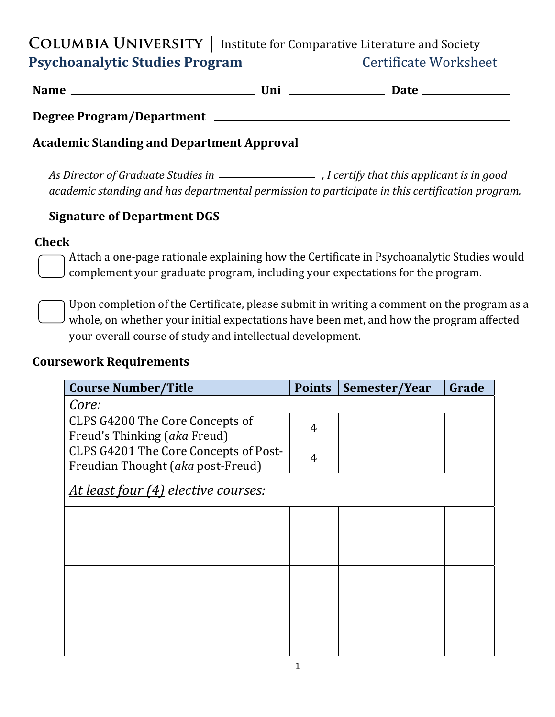**COLUMBIA UNIVERSITY** | Institute for Comparative Literature and Society **Psychoanalytic Studies Program busines Certificate Worksheet** 

**Name Uni Date** 

**Degree Program/Department** 

### **Academic Standing and Department Approval**

*As Director of Graduate Studies in , I certify that this applicant is in good academic standing and has departmental permission to participate in this certification program.* 

#### Signature of Department DGS  $\qquad \qquad$

#### **Check**

Attach a one-page rationale explaining how the Certificate in Psychoanalytic Studies would complement your graduate program, including your expectations for the program.

Upon completion of the Certificate, please submit in writing a comment on the program as a whole, on whether your initial expectations have been met, and how the program affected your overall course of study and intellectual development.

#### **Coursework Requirements**

| <b>Course Number/Title</b>            | <b>Points</b> | Semester/Year | Grade |
|---------------------------------------|---------------|---------------|-------|
| Core:                                 |               |               |       |
| CLPS G4200 The Core Concepts of       | 4             |               |       |
| Freud's Thinking (aka Freud)          |               |               |       |
| CLPS G4201 The Core Concepts of Post- | 4             |               |       |
| Freudian Thought (aka post-Freud)     |               |               |       |
| At least four (4) elective courses:   |               |               |       |
|                                       |               |               |       |
|                                       |               |               |       |
|                                       |               |               |       |
|                                       |               |               |       |
|                                       |               |               |       |
|                                       |               |               |       |
|                                       |               |               |       |
|                                       |               |               |       |
|                                       |               |               |       |
|                                       |               |               |       |
|                                       |               |               |       |